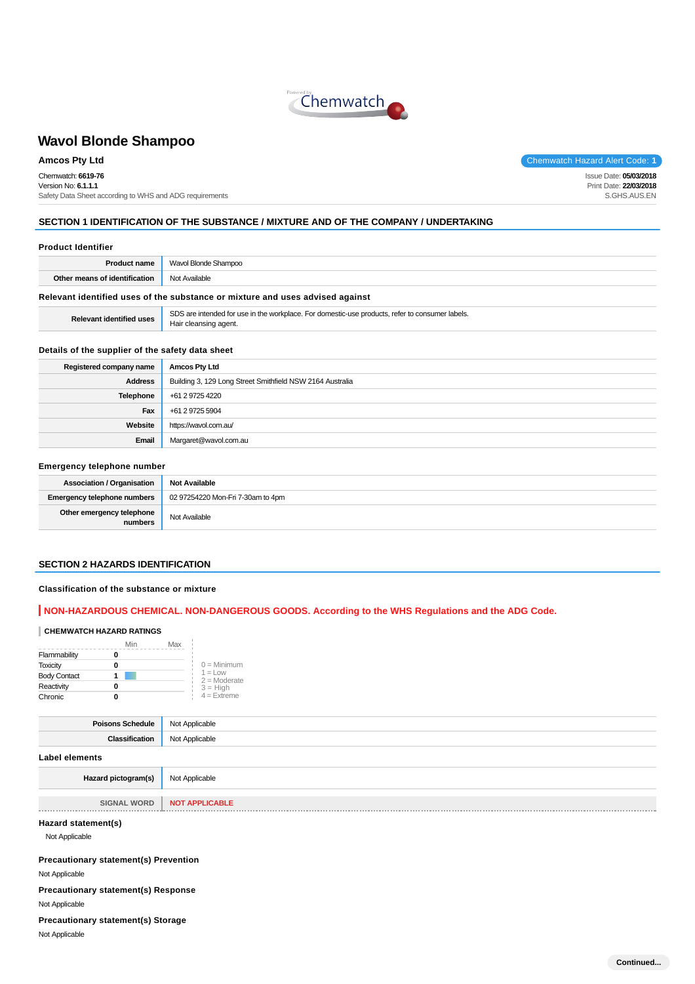

Chemwatch: **6619-76** Version No: **6.1.1.1** Safety Data Sheet according to WHS and ADG requirements

**Amcos Pty Ltd** Chemwatch Hazard Alert Code: **1** 

Issue Date: **05/03/2018** Print Date: **22/03/2018** S.GHS.AUS.EN

# **SECTION 1 IDENTIFICATION OF THE SUBSTANCE / MIXTURE AND OF THE COMPANY / UNDERTAKING**

| <b>Product name</b>                                | Wavol Blonde Shampoo                                                          |
|----------------------------------------------------|-------------------------------------------------------------------------------|
| <b>Other means of identification</b> Not Available |                                                                               |
|                                                    | Relevant identified uses of the substance or mixture and uses advised against |

**Relevant identified uses** SDS are intended for use in the workplace. For domestic-use products, refer to consumer labels. Hair cleansing agent.

### **Details of the supplier of the safety data sheet**

| Registered company name | <b>Amcos Pty Ltd</b>                                      |
|-------------------------|-----------------------------------------------------------|
| <b>Address</b>          | Building 3, 129 Long Street Smithfield NSW 2164 Australia |
| <b>Telephone</b>        | +61 2 9725 4220                                           |
| Fax                     | +61 2 9725 5904                                           |
| Website                 | https://wavol.com.au/                                     |
| Email                   | Margaret@wavol.com.au                                     |

### **Emergency telephone number**

| <b>Association / Organisation</b>    | <b>Not Available</b>              |
|--------------------------------------|-----------------------------------|
| <b>Emergency telephone numbers</b>   | 02 97254220 Mon-Fri 7-30am to 4pm |
| Other emergency telephone<br>numbers | Not Available                     |

### **SECTION 2 HAZARDS IDENTIFICATION**

### **Classification of the substance or mixture**

# **NON-HAZARDOUS CHEMICAL. NON-DANGEROUS GOODS. According to the WHS Regulations and the ADG Code.**

# **CHEMWATCH HAZARD RATINGS**

|                     | Min | Max                          |
|---------------------|-----|------------------------------|
| Flammability        |     |                              |
| <b>Toxicity</b>     |     | $0 =$ Minimum                |
| <b>Body Contact</b> |     | $1 = 1$ OW<br>$2 =$ Moderate |
| Reactivity          |     | $3 = High$                   |
| Chronic             |     | $4 =$ Extreme                |

| <b>Poisons Schedule</b> | Not Applicable |
|-------------------------|----------------|
| Classification          | Not Applicable |
| Label elements          |                |
| Hazard pictogram(s)     | Not Applicable |

| . WORD<br><b>SIGNAL</b> | <b>NOT APPLICABLE</b> |
|-------------------------|-----------------------|
|                         |                       |

# **Hazard statement(s)**

Not Applicable

**Precautionary statement(s) Prevention**

Not Applicable

**Precautionary statement(s) Response** Not Applicable

### **Precautionary statement(s) Storage**

Not Applicable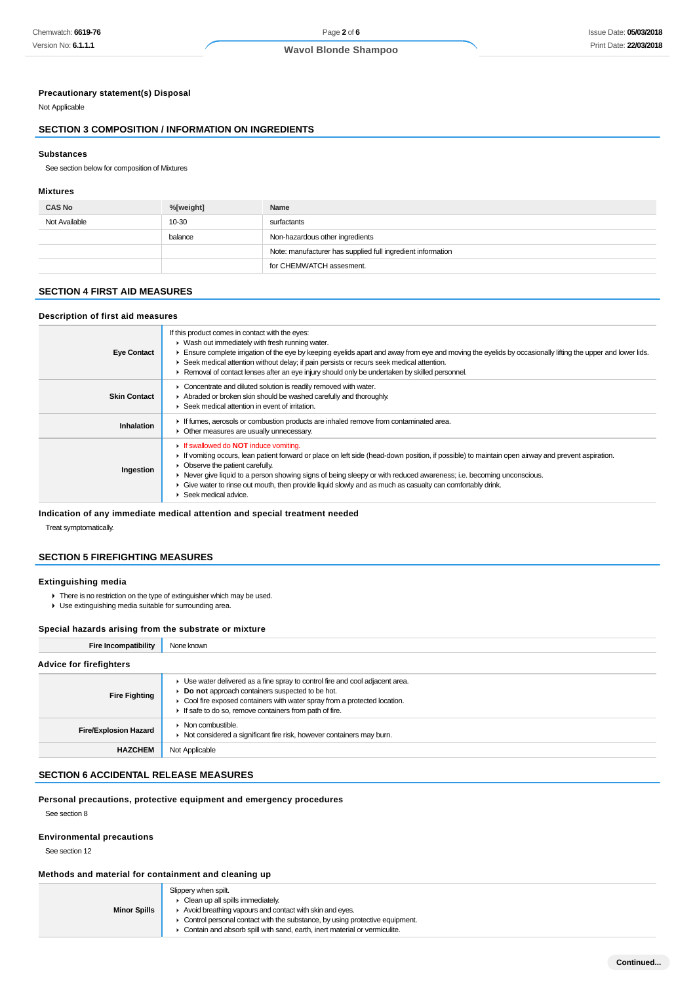### **Precautionary statement(s) Disposal**

Not Applicable

# **SECTION 3 COMPOSITION / INFORMATION ON INGREDIENTS**

#### **Substances**

See section below for composition of Mixtures

### **Mixtures**

| <b>CAS No</b> | %[weight] | Name                                                        |
|---------------|-----------|-------------------------------------------------------------|
| Not Available | 10-30     | surfactants                                                 |
|               | balance   | Non-hazardous other ingredients                             |
|               |           | Note: manufacturer has supplied full ingredient information |
|               |           | for CHEMWATCH assesment.                                    |

# **SECTION 4 FIRST AID MEASURES**

# **Description of first aid measures**

| <b>Eye Contact</b>  | If this product comes in contact with the eyes:<br>• Wash out immediately with fresh running water.<br>Ensure complete irrigation of the eye by keeping eyelids apart and away from eye and moving the eyelids by occasionally lifting the upper and lower lids.<br>► Seek medical attention without delay; if pain persists or recurs seek medical attention.<br>Removal of contact lenses after an eye injury should only be undertaken by skilled personnel.                                  |
|---------------------|--------------------------------------------------------------------------------------------------------------------------------------------------------------------------------------------------------------------------------------------------------------------------------------------------------------------------------------------------------------------------------------------------------------------------------------------------------------------------------------------------|
| <b>Skin Contact</b> | Concentrate and diluted solution is readily removed with water.<br>Abraded or broken skin should be washed carefully and thoroughly.<br>▶ Seek medical attention in event of irritation.                                                                                                                                                                                                                                                                                                         |
| Inhalation          | If fumes, aerosols or combustion products are inhaled remove from contaminated area.<br>• Other measures are usually unnecessary.                                                                                                                                                                                                                                                                                                                                                                |
| Ingestion           | <b>If swallowed do NOT induce vomiting.</b><br>If vomiting occurs, lean patient forward or place on left side (head-down position, if possible) to maintain open airway and prevent aspiration.<br>• Observe the patient carefully.<br>► Never give liquid to a person showing signs of being sleepy or with reduced awareness; i.e. becoming unconscious.<br>• Give water to rinse out mouth, then provide liquid slowly and as much as casualty can comfortably drink.<br>Seek medical advice. |

# **Indication of any immediate medical attention and special treatment needed**

Treat symptomatically.

# **SECTION 5 FIREFIGHTING MEASURES**

# **Extinguishing media**

- There is no restriction on the type of extinguisher which may be used.
- Use extinguishing media suitable for surrounding area.

### **Special hazards arising from the substrate or mixture**

| Fire Incompatibility           | None known                                                                                                                                                                                                                                                               |
|--------------------------------|--------------------------------------------------------------------------------------------------------------------------------------------------------------------------------------------------------------------------------------------------------------------------|
| <b>Advice for firefighters</b> |                                                                                                                                                                                                                                                                          |
| <b>Fire Fighting</b>           | • Use water delivered as a fine spray to control fire and cool adjacent area.<br>Do not approach containers suspected to be hot.<br>• Cool fire exposed containers with water spray from a protected location.<br>If safe to do so, remove containers from path of fire. |
| <b>Fire/Explosion Hazard</b>   | $\triangleright$ Non combustible.<br>• Not considered a significant fire risk, however containers may burn.                                                                                                                                                              |
| <b>HAZCHEM</b>                 | Not Applicable                                                                                                                                                                                                                                                           |

# **SECTION 6 ACCIDENTAL RELEASE MEASURES**

### **Personal precautions, protective equipment and emergency procedures**

See section 8

### **Environmental precautions**

See section 12

# **Methods and material for containment and cleaning up**

|                     | Slippery when spilt.                                                                       |
|---------------------|--------------------------------------------------------------------------------------------|
|                     | Clean up all spills immediately.                                                           |
| <b>Minor Spills</b> | Avoid breathing vapours and contact with skin and eyes.                                    |
|                     | • Control personal contact with the substance, by using protective equipment.              |
|                     | $\triangleright$ Contain and absorb spill with sand, earth, inert material or vermiculite. |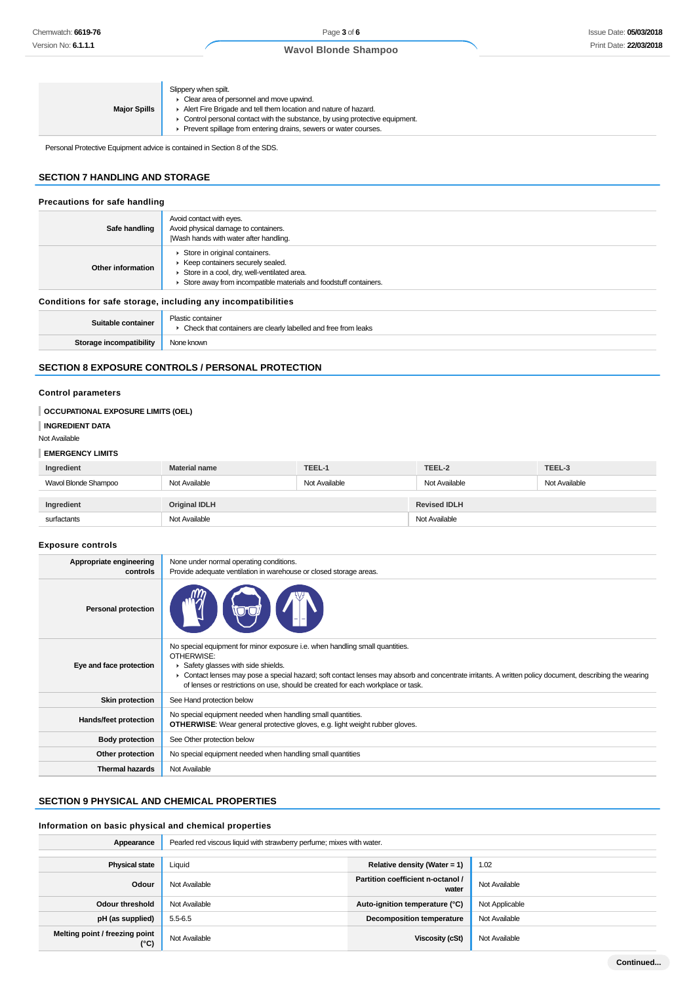| Slippery when spilt.<br>• Clear area of personnel and move upwind.<br>Alert Fire Brigade and tell them location and nature of hazard.<br><b>Major Spills</b><br>• Control personal contact with the substance, by using protective equipment.<br>Prevent spillage from entering drains, sewers or water courses. |
|------------------------------------------------------------------------------------------------------------------------------------------------------------------------------------------------------------------------------------------------------------------------------------------------------------------|
|------------------------------------------------------------------------------------------------------------------------------------------------------------------------------------------------------------------------------------------------------------------------------------------------------------------|

Personal Protective Equipment advice is contained in Section 8 of the SDS.

# **SECTION 7 HANDLING AND STORAGE**

| Precautions for safe handling |                                                                                                                                                                                        |
|-------------------------------|----------------------------------------------------------------------------------------------------------------------------------------------------------------------------------------|
| Safe handling                 | Avoid contact with eyes.<br>Avoid physical damage to containers.<br>Wash hands with water after handling.                                                                              |
| Other information             | Store in original containers.<br>▶ Keep containers securely sealed.<br>Store in a cool, dry, well-ventilated area.<br>Store away from incompatible materials and foodstuff containers. |
|                               | Conditions for safe storage, including any incompatibilities                                                                                                                           |
| Suitable container            | Plastic container<br>• Check that containers are clearly labelled and free from leaks                                                                                                  |
| Storage incompatibility       | None known                                                                                                                                                                             |

# **SECTION 8 EXPOSURE CONTROLS / PERSONAL PROTECTION**

# **Control parameters**

| OCCUPATIONAL EXPOSURE LIMITS (OEL)<br><b>INGREDIENT DATA</b> |                      |               |                     |               |
|--------------------------------------------------------------|----------------------|---------------|---------------------|---------------|
| Not Available<br><b>EMERGENCY LIMITS</b>                     |                      |               |                     |               |
| Ingredient                                                   | <b>Material name</b> | TEEL-1        | TEEL-2              | TEEL-3        |
| Wavol Blonde Shampoo                                         | Not Available        | Not Available | Not Available       | Not Available |
| Ingredient                                                   | <b>Original IDLH</b> |               | <b>Revised IDLH</b> |               |
| surfactants                                                  | Not Available        |               | Not Available       |               |
| <b>Exposure controls</b>                                     |                      |               |                     |               |

| Appropriate engineering    | None under normal operating conditions.                                                                                                                                                                                                                                                                                                                                       |
|----------------------------|-------------------------------------------------------------------------------------------------------------------------------------------------------------------------------------------------------------------------------------------------------------------------------------------------------------------------------------------------------------------------------|
| controls                   | Provide adequate ventilation in warehouse or closed storage areas.                                                                                                                                                                                                                                                                                                            |
| <b>Personal protection</b> |                                                                                                                                                                                                                                                                                                                                                                               |
| Eye and face protection    | No special equipment for minor exposure i.e. when handling small quantities.<br>OTHERWISE:<br>Safety glasses with side shields.<br>• Contact lenses may pose a special hazard; soft contact lenses may absorb and concentrate irritants. A written policy document, describing the wearing<br>of lenses or restrictions on use, should be created for each workplace or task. |
| <b>Skin protection</b>     | See Hand protection below                                                                                                                                                                                                                                                                                                                                                     |
| Hands/feet protection      | No special equipment needed when handling small quantities.<br><b>OTHERWISE:</b> Wear general protective gloves, e.g. light weight rubber gloves.                                                                                                                                                                                                                             |
| <b>Body protection</b>     | See Other protection below                                                                                                                                                                                                                                                                                                                                                    |
| Other protection           | No special equipment needed when handling small quantities                                                                                                                                                                                                                                                                                                                    |
| <b>Thermal hazards</b>     | Not Available                                                                                                                                                                                                                                                                                                                                                                 |

# **SECTION 9 PHYSICAL AND CHEMICAL PROPERTIES**

# **Information on basic physical and chemical properties**

| Appearance                                      | Pearled red viscous liquid with strawberry perfume; mixes with water. |                                            |                |
|-------------------------------------------------|-----------------------------------------------------------------------|--------------------------------------------|----------------|
|                                                 |                                                                       |                                            |                |
| <b>Physical state</b>                           | Liquid                                                                | Relative density (Water = 1)               | 1.02           |
| Odour                                           | Not Available                                                         | Partition coefficient n-octanol /<br>water | Not Available  |
| <b>Odour threshold</b>                          | Not Available                                                         | Auto-ignition temperature (°C)             | Not Applicable |
| pH (as supplied)                                | $5.5 - 6.5$                                                           | Decomposition temperature                  | Not Available  |
| Melting point / freezing point<br>$(^{\circ}C)$ | Not Available                                                         | Viscosity (cSt)                            | Not Available  |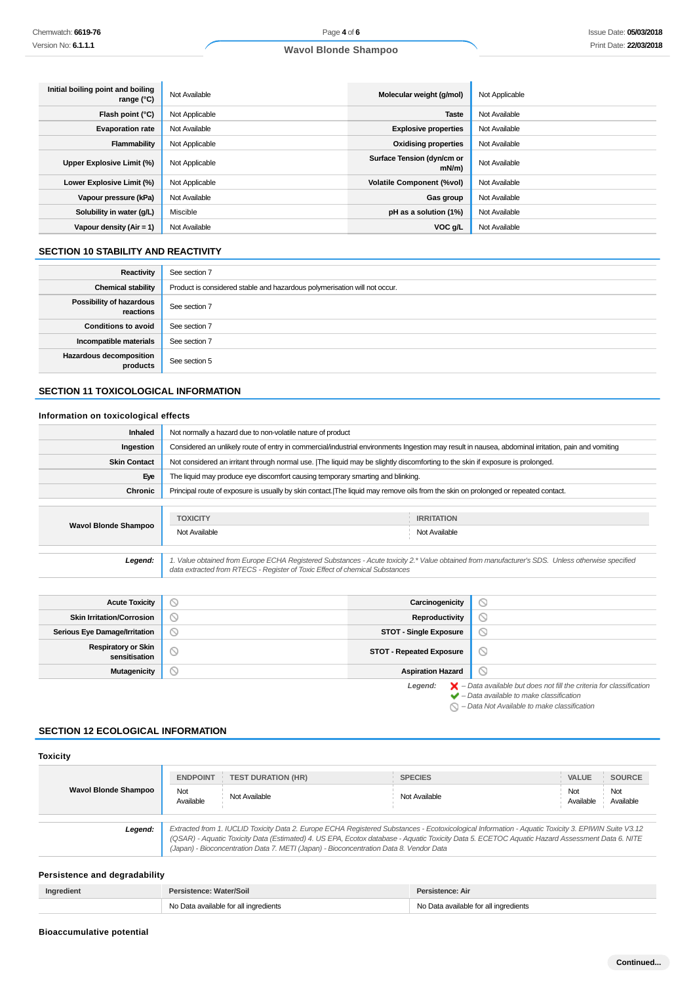| Initial boiling point and boiling<br>range $(°C)$ | Not Available  | Molecular weight (g/mol)               | Not Applicable |
|---------------------------------------------------|----------------|----------------------------------------|----------------|
| Flash point $(°C)$                                | Not Applicable | <b>Taste</b>                           | Not Available  |
| <b>Evaporation rate</b>                           | Not Available  | <b>Explosive properties</b>            | Not Available  |
| Flammability                                      | Not Applicable | <b>Oxidising properties</b>            | Not Available  |
| Upper Explosive Limit (%)                         | Not Applicable | Surface Tension (dyn/cm or<br>$mN/m$ ) | Not Available  |
| Lower Explosive Limit (%)                         | Not Applicable | <b>Volatile Component (%vol)</b>       | Not Available  |
| Vapour pressure (kPa)                             | Not Available  | Gas group                              | Not Available  |
| Solubility in water (g/L)                         | Miscible       | pH as a solution (1%)                  | Not Available  |
| Vapour density $(Air = 1)$                        | Not Available  | VOC g/L                                | Not Available  |

# **SECTION 10 STABILITY AND REACTIVITY**

| Reactivity                                 | See section 7                                                             |
|--------------------------------------------|---------------------------------------------------------------------------|
| <b>Chemical stability</b>                  | Product is considered stable and hazardous polymerisation will not occur. |
| Possibility of hazardous<br>reactions      | See section 7                                                             |
| <b>Conditions to avoid</b>                 | See section 7                                                             |
| Incompatible materials                     | See section 7                                                             |
| <b>Hazardous decomposition</b><br>products | See section 5                                                             |

# **SECTION 11 TOXICOLOGICAL INFORMATION**

# **Information on toxicological effects**

| <b>Inhaled</b>              | Not normally a hazard due to non-volatile nature of product                                                                                         |                                                                                                                                               |  |
|-----------------------------|-----------------------------------------------------------------------------------------------------------------------------------------------------|-----------------------------------------------------------------------------------------------------------------------------------------------|--|
| Ingestion                   | Considered an unlikely route of entry in commercial/industrial environments Ingestion may result in nausea, abdominal irritation, pain and vomiting |                                                                                                                                               |  |
| <b>Skin Contact</b>         | Not considered an irritant through normal use. [The liquid may be slightly discomforting to the skin if exposure is prolonged.                      |                                                                                                                                               |  |
| Eye                         | The liquid may produce eye discomfort causing temporary smarting and blinking.                                                                      |                                                                                                                                               |  |
| Chronic                     | Principal route of exposure is usually by skin contact. The liquid may remove oils from the skin on prolonged or repeated contact.                  |                                                                                                                                               |  |
| <b>Wavol Blonde Shampoo</b> | <b>TOXICITY</b><br>Not Available                                                                                                                    | <b>IRRITATION</b><br>Not Available                                                                                                            |  |
| Legend:                     |                                                                                                                                                     | Value obtained from Europe ECHA Registered Substances - Acute toxicity 2.* Value obtained from manufacturer's SDS. Unless otherwise specified |  |

data extracted from RTECS - Register of Toxic Effect of chemical Substances

| <b>Acute Toxicity</b>                       |         | Carcinogenicity                 | Y                                                                                                                                             |
|---------------------------------------------|---------|---------------------------------|-----------------------------------------------------------------------------------------------------------------------------------------------|
| <b>Skin Irritation/Corrosion</b>            | $\circ$ | Reproductivity                  | Э                                                                                                                                             |
| <b>Serious Eye Damage/Irritation</b>        |         | <b>STOT - Single Exposure</b>   |                                                                                                                                               |
| <b>Respiratory or Skin</b><br>sensitisation | ◡       | <b>STOT - Repeated Exposure</b> | $\circ$                                                                                                                                       |
| <b>Mutagenicity</b>                         |         | <b>Aspiration Hazard</b>        |                                                                                                                                               |
|                                             |         | Legend:                         | $\blacktriangleright$ - Data available but does not fill the criteria for classification<br>$\triangle$ Dota quailable to make eleccification |

– Data available to make classification

 $\bigcirc$  – Data Not Available to make classification

### **SECTION 12 ECOLOGICAL INFORMATION**

| <b>Toxicity</b>             |                                     |                                                                                        |                                                                                                                                                                                                                                                                                                       |                                                                       |
|-----------------------------|-------------------------------------|----------------------------------------------------------------------------------------|-------------------------------------------------------------------------------------------------------------------------------------------------------------------------------------------------------------------------------------------------------------------------------------------------------|-----------------------------------------------------------------------|
| <b>Wavol Blonde Shampoo</b> | <b>ENDPOINT</b><br>Not<br>Available | <b>TEST DURATION (HR)</b><br>Not Available                                             | <b>SPECIES</b><br>Not Available                                                                                                                                                                                                                                                                       | <b>SOURCE</b><br><b>VALUE</b><br>Not<br>Not<br>Available<br>Available |
| Legend:                     |                                     | (Japan) - Bioconcentration Data 7. METI (Japan) - Bioconcentration Data 8. Vendor Data | Extracted from 1. IUCLID Toxicity Data 2. Europe ECHA Registered Substances - Ecotoxicological Information - Aquatic Toxicity 3. EPIWIN Suite V3.12<br>(QSAR) - Aquatic Toxicity Data (Estimated) 4. US EPA, Ecotox database - Aquatic Toxicity Data 5. ECETOC Aquatic Hazard Assessment Data 6. NITE |                                                                       |

# **Persistence and degradability**

| Ingredient | Persistence: Water/Soil               | Persistence: Air                      |
|------------|---------------------------------------|---------------------------------------|
|            | No Data available for all ingredients | No Data available for all ingredients |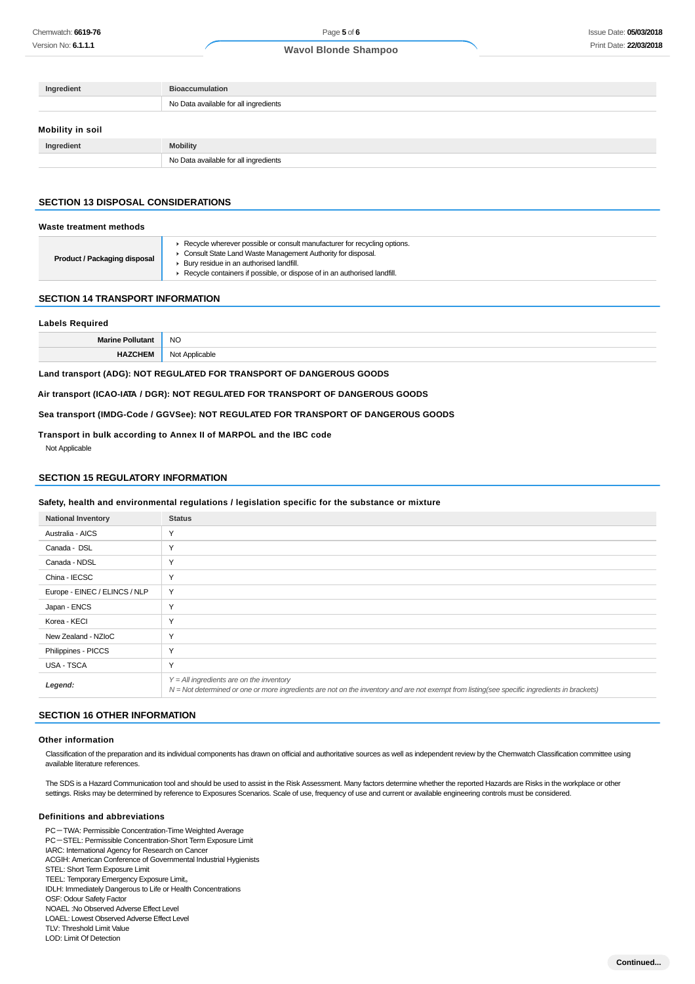| Ingredient       | <b>Bioaccumulation</b>                |
|------------------|---------------------------------------|
|                  | No Data available for all ingredients |
| Mobility in soil |                                       |
| Ingredient       | <b>Mobility</b>                       |

### **SECTION 13 DISPOSAL CONSIDERATIONS**

#### **Waste treatment methods**

| <b>Product / Packaging disposal</b><br>▶ Bury residue in an authorised landfill.<br>▶ Recycle containers if possible, or dispose of in an authorised landfill. |  | ▶ Recycle wherever possible or consult manufacturer for recycling options.<br>Consult State Land Waste Management Authority for disposal. |
|----------------------------------------------------------------------------------------------------------------------------------------------------------------|--|-------------------------------------------------------------------------------------------------------------------------------------------|
|----------------------------------------------------------------------------------------------------------------------------------------------------------------|--|-------------------------------------------------------------------------------------------------------------------------------------------|

#### **SECTION 14 TRANSPORT INFORMATION**

### **Labels Required**

| <b>NO</b> |
|-----------|
|           |

**Land transport (ADG): NOT REGULATED FOR TRANSPORT OF DANGEROUS GOODS**

No Data available for all ingredients

**Air transport (ICAO-IATA / DGR): NOT REGULATED FOR TRANSPORT OF DANGEROUS GOODS**

**Sea transport (IMDG-Code / GGVSee): NOT REGULATED FOR TRANSPORT OF DANGEROUS GOODS**

#### **Transport in bulk according to Annex II of MARPOL and the IBC code**

Not Applicable

### **SECTION 15 REGULATORY INFORMATION**

### **Safety, health and environmental regulations / legislation specific for the substance or mixture**

| <b>National Inventory</b>     | <b>Status</b>                                                                                                                                                                              |
|-------------------------------|--------------------------------------------------------------------------------------------------------------------------------------------------------------------------------------------|
| Australia - AICS              | Υ                                                                                                                                                                                          |
| Canada - DSL                  | Υ                                                                                                                                                                                          |
| Canada - NDSL                 | Υ                                                                                                                                                                                          |
| China - IECSC                 | Υ                                                                                                                                                                                          |
| Europe - EINEC / ELINCS / NLP | Y                                                                                                                                                                                          |
| Japan - ENCS                  | Υ                                                                                                                                                                                          |
| Korea - KECI                  | Υ                                                                                                                                                                                          |
| New Zealand - NZIoC           | Υ                                                                                                                                                                                          |
| Philippines - PICCS           | Υ                                                                                                                                                                                          |
| USA - TSCA                    | Υ                                                                                                                                                                                          |
| Legend:                       | $Y = All$ ingredients are on the inventory<br>N = Not determined or one or more ingredients are not on the inventory and are not exempt from listing(see specific ingredients in brackets) |

### **SECTION 16 OTHER INFORMATION**

#### **Other information**

Classification of the preparation and its individual components has drawn on official and authoritative sources as well as independent review by the Chemwatch Classification committee using available literature references.

The SDS is a Hazard Communication tool and should be used to assist in the Risk Assessment. Many factors determine whether the reported Hazards are Risks in the workplace or other settings. Risks may be determined by reference to Exposures Scenarios. Scale of use, frequency of use and current or available engineering controls must be considered.

### **Definitions and abbreviations**

PC-TWA: Permissible Concentration-Time Weighted Average PC-STEL: Permissible Concentration-Short Term Exposure Limit IARC: International Agency for Research on Cancer ACGIH: American Conference of Governmental Industrial Hygienists STEL: Short Term Exposure Limit TEEL: Temporary Emergency Exposure Limit。 IDLH: Immediately Dangerous to Life or Health Concentrations OSF: Odour Safety Factor NOAEL :No Observed Adverse Effect Level LOAEL: Lowest Observed Adverse Effect Level TLV: Threshold Limit Value

LOD: Limit Of Detection